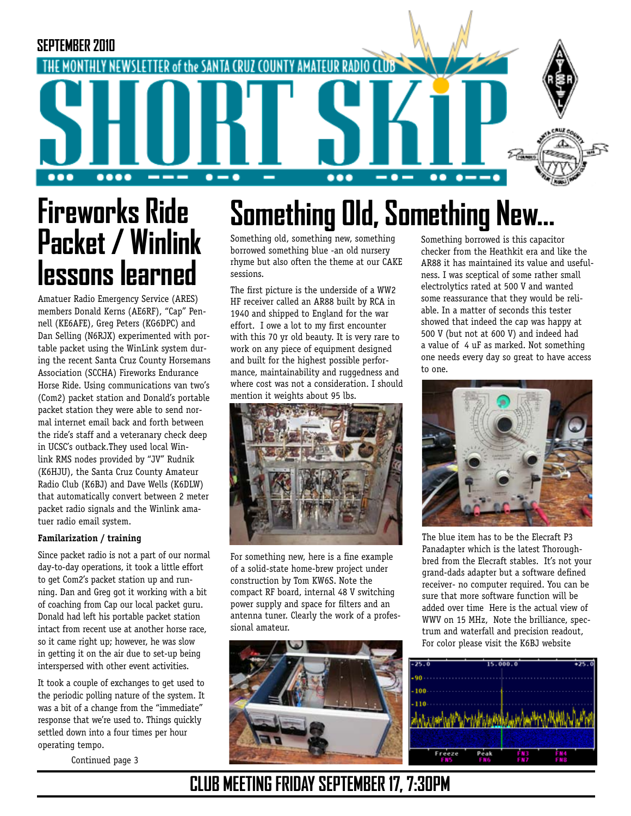

# **Fireworks Ride Packet / Winlink lessons learned**

Amatuer Radio Emergency Service (ARES) members Donald Kerns (AE6RF), "Cap" Pennell (KE6AFE), Greg Peters (KG6DPC) and Dan Selling (N6RJX) experimented with portable packet using the WinLink system during the recent Santa Cruz County Horsemans Association (SCCHA) Fireworks Endurance Horse Ride. Using communications van two's (Com2) packet station and Donald's portable packet station they were able to send normal internet email back and forth between the ride's staff and a veteranary check deep in UCSC's outback.They used local Winlink RMS nodes provided by "JV" Rudnik (K6HJU), the Santa Cruz County Amateur Radio Club (K6BJ) and Dave Wells (K6DLW) that automatically convert between 2 meter packet radio signals and the Winlink amatuer radio email system.

## **Familarization / training**

Since packet radio is not a part of our normal day-to-day operations, it took a little effort to get Com2's packet station up and running. Dan and Greg got it working with a bit of coaching from Cap our local packet guru. Donald had left his portable packet station intact from recent use at another horse race, so it came right up; however, he was slow in getting it on the air due to set-up being interspersed with other event activities.

It took a couple of exchanges to get used to the periodic polling nature of the system. It was a bit of a change from the "immediate" response that we're used to. Things quickly settled down into a four times per hour operating tempo.

Continued page 3

# **Something Old, Something New...**

Something old, something new, something borrowed something blue -an old nursery rhyme but also often the theme at our CAKE sessions.

The first picture is the underside of a WW2 HF receiver called an AR88 built by RCA in 1940 and shipped to England for the war effort. I owe a lot to my first encounter with this 70 yr old beauty. It is very rare to work on any piece of equipment designed and built for the highest possible performance, maintainability and ruggedness and where cost was not a consideration. I should mention it weights about 95 lbs.



For something new, here is a fine example of a solid-state home-brew project under construction by Tom KW6S. Note the compact RF board, internal 48 V switching power supply and space for filters and an antenna tuner. Clearly the work of a professional amateur.



Something borrowed is this capacitor checker from the Heathkit era and like the AR88 it has maintained its value and usefulness. I was sceptical of some rather small electrolytics rated at 500 V and wanted some reassurance that they would be reliable. In a matter of seconds this tester showed that indeed the cap was happy at 500 V (but not at 600 V) and indeed had a value of 4 uF as marked. Not something one needs every day so great to have access to one.



The blue item has to be the Elecraft P3 Panadapter which is the latest Thoroughbred from the Elecraft stables. It's not your grand-dads adapter but a software defined receiver- no computer required. You can be sure that more software function will be added over time Here is the actual view of WWV on 15 MHz, Note the brilliance, spectrum and waterfall and precision readout, For color please visit the K6BJ website



## **CLUB MEETING FRIDAY SEPTEMBER 17, 7:30PM**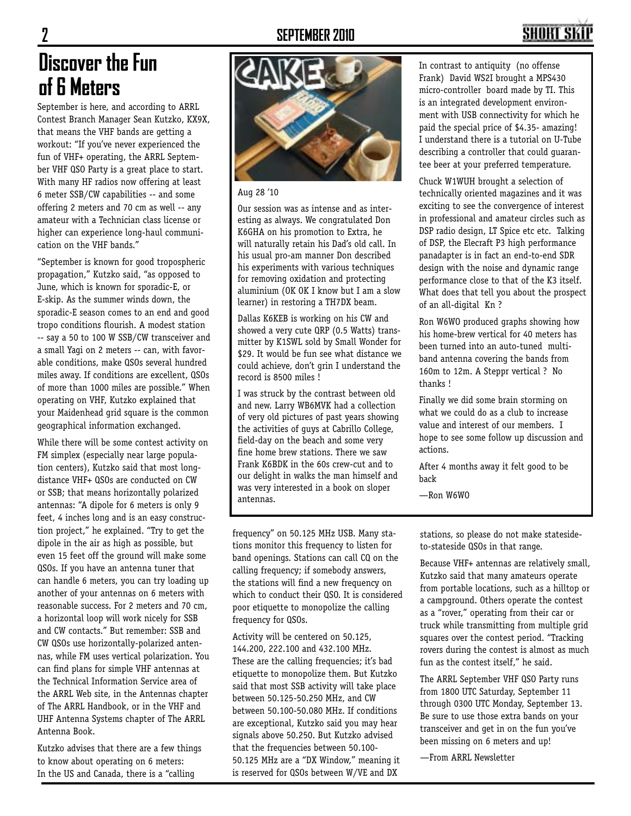## **2 SEPTEMBER 2010**

## **SHORT SK**

## **Discover the Fun of 6 Meters**

September is here, and according to ARRL Contest Branch Manager Sean Kutzko, KX9X, that means the VHF bands are getting a workout: "If you've never experienced the fun of VHF+ operating, the ARRL September VHF QSO Party is a great place to start. With many HF radios now offering at least 6 meter SSB/CW capabilities -- and some offering 2 meters and 70 cm as well -- any amateur with a Technician class license or higher can experience long-haul communication on the VHF bands."

"September is known for good tropospheric propagation," Kutzko said, "as opposed to June, which is known for sporadic-E, or E-skip. As the summer winds down, the sporadic-E season comes to an end and good tropo conditions flourish. A modest station -- say a 50 to 100 W SSB/CW transceiver and a small Yagi on 2 meters -- can, with favorable conditions, make QSOs several hundred miles away. If conditions are excellent, QSOs of more than 1000 miles are possible." When operating on VHF, Kutzko explained that your Maidenhead grid square is the common geographical information exchanged.

While there will be some contest activity on FM simplex (especially near large population centers), Kutzko said that most longdistance VHF+ QSOs are conducted on CW or SSB; that means horizontally polarized antennas: "A dipole for 6 meters is only 9 feet, 4 inches long and is an easy construction project," he explained. "Try to get the dipole in the air as high as possible, but even 15 feet off the ground will make some QSOs. If you have an antenna tuner that can handle 6 meters, you can try loading up another of your antennas on 6 meters with reasonable success. For 2 meters and 70 cm, a horizontal loop will work nicely for SSB and CW contacts." But remember: SSB and CW QSOs use horizontally-polarized antennas, while FM uses vertical polarization. You can find plans for simple VHF antennas at the Technical Information Service area of the ARRL Web site, in the Antennas chapter of The ARRL Handbook, or in the VHF and UHF Antenna Systems chapter of The ARRL Antenna Book.

Kutzko advises that there are a few things to know about operating on 6 meters: In the US and Canada, there is a "calling



Aug 28 '10

Our session was as intense and as interesting as always. We congratulated Don K6GHA on his promotion to Extra, he will naturally retain his Dad's old call. In his usual pro-am manner Don described his experiments with various techniques for removing oxidation and protecting aluminium (OK OK I know but I am a slow learner) in restoring a TH7DX beam.

Dallas K6KEB is working on his CW and showed a very cute QRP (0.5 Watts) transmitter by K1SWL sold by Small Wonder for \$29. It would be fun see what distance we could achieve, don't grin I understand the record is 8500 miles !

I was struck by the contrast between old and new. Larry WB6MVK had a collection of very old pictures of past years showing the activities of guys at Cabrillo College, field-day on the beach and some very fine home brew stations. There we saw Frank K6BDK in the 60s crew-cut and to our delight in walks the man himself and was very interested in a book on sloper antennas.

frequency" on 50.125 MHz USB. Many stations monitor this frequency to listen for band openings. Stations can call CQ on the calling frequency; if somebody answers, the stations will find a new frequency on which to conduct their QSO. It is considered poor etiquette to monopolize the calling frequency for QSOs.

Activity will be centered on 50.125, 144.200, 222.100 and 432.100 MHz. These are the calling frequencies; it's bad etiquette to monopolize them. But Kutzko said that most SSB activity will take place between 50.125-50.250 MHz, and CW between 50.100-50.080 MHz. If conditions are exceptional, Kutzko said you may hear signals above 50.250. But Kutzko advised that the frequencies between 50.100- 50.125 MHz are a "DX Window," meaning it is reserved for QSOs between W/VE and DX

In contrast to antiquity (no offense Frank) David WS2I brought a MPS430 micro-controller board made by TI. This is an integrated development environment with USB connectivity for which he paid the special price of \$4.35- amazing! I understand there is a tutorial on U-Tube describing a controller that could guarantee beer at your preferred temperature.

Chuck W1WUH brought a selection of technically oriented magazines and it was exciting to see the convergence of interest in professional and amateur circles such as DSP radio design, LT Spice etc etc. Talking of DSP, the Elecraft P3 high performance panadapter is in fact an end-to-end SDR design with the noise and dynamic range performance close to that of the K3 itself. What does that tell you about the prospect of an all-digital Kn ?

Ron W6WO produced graphs showing how his home-brew vertical for 40 meters has been turned into an auto-tuned multiband antenna covering the bands from 160m to 12m. A Steppr vertical ? No thanks !

Finally we did some brain storming on what we could do as a club to increase value and interest of our members. I hope to see some follow up discussion and actions.

After 4 months away it felt good to be back

—Ron W6WO

stations, so please do not make statesideto-stateside QSOs in that range.

Because VHF+ antennas are relatively small, Kutzko said that many amateurs operate from portable locations, such as a hilltop or a campground. Others operate the contest as a "rover," operating from their car or truck while transmitting from multiple grid squares over the contest period. "Tracking rovers during the contest is almost as much fun as the contest itself," he said.

The ARRL September VHF QSO Party runs from 1800 UTC Saturday, September 11 through 0300 UTC Monday, September 13. Be sure to use those extra bands on your transceiver and get in on the fun you've been missing on 6 meters and up!

—From ARRL Newsletter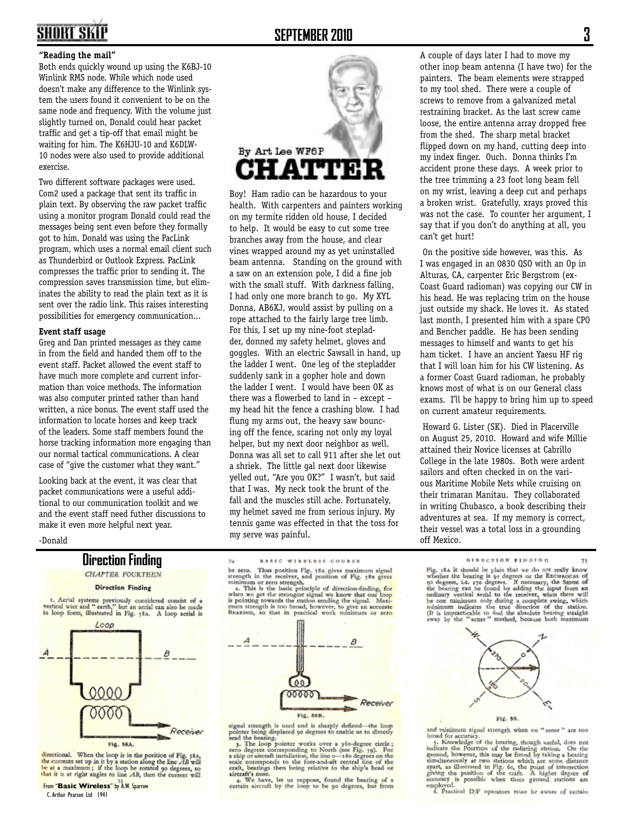## SHORT SKIF

## **SEPTEMBER 2010 3**

### **"Reading the mail"**

Both ends quickly wound up using the K6BJ-10 Winlink RMS node. While which node used doesn't make any difference to the Winlink system the users found it convenient to be on the same node and frequency. With the volume just slightly turned on, Donald could hear packet traffic and get a tip-off that email might be waiting for him. The K6HJU-10 and K6DLW-10 nodes were also used to provide additional exercise.

Two different software packages were used. Com2 used a package that sent its traffic in plain text. By observing the raw packet traffic using a monitor program Donald could read the messages being sent even before they formally got to him. Donald was using the PacLink program, which uses a normal email client such as Thunderbird or Outlook Express. PacLink compresses the traffic prior to sending it. The compression saves transmission time, but eliminates the ability to read the plain text as it is sent over the radio link. This raises interesting possibilities for emergency communication...

### **Event staff usage**

Greg and Dan printed messages as they came in from the field and handed them off to the event staff. Packet allowed the event staff to have much more complete and current information than voice methods. The information was also computer printed rather than hand written, a nice bonus. The event staff used the information to locate horses and keep track of the leaders. Some staff members found the horse tracking information more engaging than our normal tactical communications. A clear case of "give the customer what they want."

Looking back at the event, it was clear that packet communications were a useful additional to our communication toolkit and we and the event staff need futher discussions to make it even more helpful next year.



Boy! Ham radio can be hazardous to your health. With carpenters and painters working on my termite ridden old house, I decided to help. It would be easy to cut some tree branches away from the house, and clear vines wrapped around my as yet uninstalled beam antenna. Standing on the ground with a saw on an extension pole, I did a fine job with the small stuff. With darkness falling, I had only one more branch to go. My XYL Donna, AB6XJ, would assist by pulling on a rope attached to the fairly large tree limb. For this, I set up my nine-foot stepladder, donned my safety helmet, gloves and goggles. With an electric Sawsall in hand, up the ladder I went. One leg of the stepladder suddenly sank in a gopher hole and down the ladder I went. I would have been OK as there was a flowerbed to land in – except – my head hit the fence a crashing blow. I had flung my arms out, the heavy saw bouncing off the fence, scaring not only my loyal helper, but my next door neighbor as well. Donna was all set to call 911 after she let out a shriek. The little gal next door likewise yelled out, "Are you OK?" I wasn't, but said that I was. My neck took the brunt of the fall and the muscles still ache. Fortunately, my helmet saved me from serious injury. My tennis game was effected in that the toss for my serve was painful.

A couple of days later I had to move my other inop beam antenna (I have two) for the painters. The beam elements were strapped to my tool shed. There were a couple of screws to remove from a galvanized metal restraining bracket. As the last screw came loose, the entire antenna array dropped free from the shed. The sharp metal bracket flipped down on my hand, cutting deep into my index finger. Ouch. Donna thinks I'm accident prone these days. A week prior to the tree trimming a 23 foot long beam fell on my wrist, leaving a deep cut and perhaps a broken wrist. Gratefully, xrays proved this was not the case. To counter her argument, I say that if you don't do anything at all, you can't get hurt!

 On the positive side however, was this. As I was engaged in an 0830 QSO with an Op in Alturas, CA, carpenter Eric Bergstrom (ex-Coast Guard radioman) was copying our CW in his head. He was replacing trim on the house just outside my shack. He loves it. As stated last month, I presented him with a spare CPO and Bencher paddle. He has been sending messages to himself and wants to get his ham ticket. I have an ancient Yaesu HF rig that I will loan him for his CW listening. As a former Coast Guard radioman, he probably knows most of what is on our General class exams. I'll be happy to bring him up to speed on current amateur requirements.

 Howard G. Lister (SK). Died in Placerville on August 25, 2010. Howard and wife Millie attained their Novice licenses at Cabrillo College in the late 1980s. Both were ardent sailors and often checked in on the various Maritime Mobile Nets while cruising on their trimaran Manitau. They collaborated in writing Chubasco, a book describing their adventures at sea. If my memory is correct, their vessel was a total loss in a grounding off Mexico.

-Donald







I. Aerial systems previously considered consist of a vertical wire and "earth," but an aerial can also be made in loop form, illustrated in Fig. 58.. A loop aerial is



directional. When the loop is in the position of Fig. 58.4,<br>the currents set up in it by a station along the line  $\overrightarrow{AB}$  will<br>be at a maximum; if the loop be rotated 90 degrees, so<br>that it is at right angles to  $\frac{AB}{2A$ 

**BASIC WIRELESS COURSE**  $74$ 

The zero. Thus position Fig. 58a gives maximum signal<br>be zero. Thus position Fig. 58a gives maximum signal<br>attength in the receiver, and position of Fig. 58a gives<br>minimum or zero strength.<br>2. This is the basic principle o



signal strength is used and is sharply defined-the loop<br>pointer being displaced 90 degrees to enable us to directly

pointer being says of our context is to enterpreneur real the bearing.<br> **1.** The loop pointer works over a 56-degree circle;<br>
zero degrees corresponding to North (see Fig. 59). For<br>
a ship or aircraft installation, the lin craft, bearings then being relative to the ship's head or

4. We have, let us suppose, found the bearing of a certain aircraft by the loop to be 90 degrees, but from

DIRECTION FINDING

DIRECTION FINDING 73<br>
Fig. 58. it should be plain that we do not really known<br>
whether the bearing is go degrees or the RECIPROCAL of<br>
90 degrees, i.e. 270 degrees. If necessary, the SESSE of<br>
the bearing can be found by





and minimum signal strength when on "sense" are too

and minimum signal strength when on "sense" are too broad for accuracy, the bearing, though useful, does not indicate the Postruos of the radiating station. On the product ground, however, this may be found by taking a be